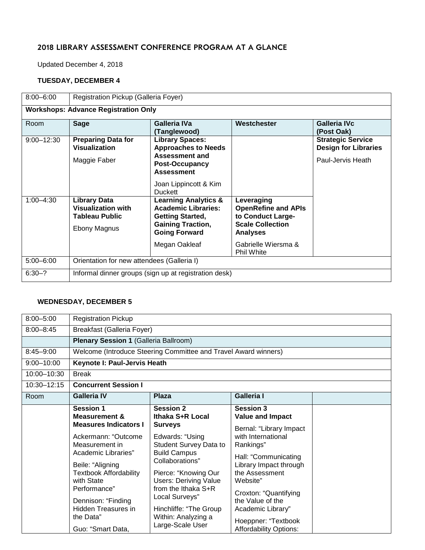# 2018 LIBRARY ASSESSMENT CONFERENCE PROGRAM AT A GLANCE

Updated December 4, 2018

#### **TUESDAY, DECEMBER 4**

| $8:00 - 6:00$                               | Registration Pickup (Galleria Foyer)                                               |                                                                                                                                                                 |                                                                                                                                                         |                                                                              |  |
|---------------------------------------------|------------------------------------------------------------------------------------|-----------------------------------------------------------------------------------------------------------------------------------------------------------------|---------------------------------------------------------------------------------------------------------------------------------------------------------|------------------------------------------------------------------------------|--|
| <b>Workshops: Advance Registration Only</b> |                                                                                    |                                                                                                                                                                 |                                                                                                                                                         |                                                                              |  |
| Room                                        | <b>Sage</b>                                                                        | Galleria IVa<br>(Tanglewood)                                                                                                                                    | Westchester                                                                                                                                             | Galleria IVc<br>(Post Oak)                                                   |  |
| $9:00 - 12:30$                              | <b>Preparing Data for</b><br><b>Visualization</b><br>Maggie Faber                  | <b>Library Spaces:</b><br><b>Approaches to Needs</b><br><b>Assessment and</b><br>Post-Occupancy<br><b>Assessment</b><br>Joan Lippincott & Kim<br><b>Duckett</b> |                                                                                                                                                         | <b>Strategic Service</b><br><b>Design for Libraries</b><br>Paul-Jervis Heath |  |
| $1:00 - 4:30$                               | <b>Library Data</b><br><b>Visualization with</b><br>Tableau Public<br>Ebony Magnus | <b>Learning Analytics &amp;</b><br><b>Academic Libraries:</b><br><b>Getting Started,</b><br><b>Gaining Traction,</b><br><b>Going Forward</b><br>Megan Oakleaf   | Leveraging<br><b>OpenRefine and APIs</b><br>to Conduct Large-<br><b>Scale Collection</b><br><b>Analyses</b><br>Gabrielle Wiersma &<br><b>Phil White</b> |                                                                              |  |
| $5:00 - 6:00$                               |                                                                                    |                                                                                                                                                                 |                                                                                                                                                         |                                                                              |  |
|                                             | Orientation for new attendees (Galleria I)                                         |                                                                                                                                                                 |                                                                                                                                                         |                                                                              |  |
| $6:30-?$                                    | Informal dinner groups (sign up at registration desk)                              |                                                                                                                                                                 |                                                                                                                                                         |                                                                              |  |

#### **WEDNESDAY, DECEMBER 5**

| $8:00 - 5:00$  | <b>Registration Pickup</b>                                                                                                                                                                                                                                                                                     |                                                                                                                                                                                                                                                                                                                     |                                                                                                                                                                                                                                                                                                                     |  |  |
|----------------|----------------------------------------------------------------------------------------------------------------------------------------------------------------------------------------------------------------------------------------------------------------------------------------------------------------|---------------------------------------------------------------------------------------------------------------------------------------------------------------------------------------------------------------------------------------------------------------------------------------------------------------------|---------------------------------------------------------------------------------------------------------------------------------------------------------------------------------------------------------------------------------------------------------------------------------------------------------------------|--|--|
| $8:00 - 8:45$  | Breakfast (Galleria Foyer)                                                                                                                                                                                                                                                                                     |                                                                                                                                                                                                                                                                                                                     |                                                                                                                                                                                                                                                                                                                     |  |  |
|                | <b>Plenary Session 1 (Galleria Ballroom)</b>                                                                                                                                                                                                                                                                   |                                                                                                                                                                                                                                                                                                                     |                                                                                                                                                                                                                                                                                                                     |  |  |
| $8:45 - 9:00$  |                                                                                                                                                                                                                                                                                                                | Welcome (Introduce Steering Committee and Travel Award winners)                                                                                                                                                                                                                                                     |                                                                                                                                                                                                                                                                                                                     |  |  |
| $9:00 - 10:00$ | Keynote I: Paul-Jervis Heath                                                                                                                                                                                                                                                                                   |                                                                                                                                                                                                                                                                                                                     |                                                                                                                                                                                                                                                                                                                     |  |  |
| 10:00-10:30    | <b>Break</b>                                                                                                                                                                                                                                                                                                   |                                                                                                                                                                                                                                                                                                                     |                                                                                                                                                                                                                                                                                                                     |  |  |
| 10:30-12:15    | <b>Concurrent Session I</b>                                                                                                                                                                                                                                                                                    |                                                                                                                                                                                                                                                                                                                     |                                                                                                                                                                                                                                                                                                                     |  |  |
| Room           | <b>Galleria IV</b>                                                                                                                                                                                                                                                                                             | <b>Plaza</b>                                                                                                                                                                                                                                                                                                        | <b>Galleria I</b>                                                                                                                                                                                                                                                                                                   |  |  |
|                | <b>Session 1</b><br><b>Measurement &amp;</b><br><b>Measures Indicators I</b><br>Ackermann: "Outcome<br>Measurement in<br>Academic Libraries"<br>Beile: "Aligning<br><b>Textbook Affordability</b><br>with State<br>Performance"<br>Dennison: "Finding<br>Hidden Treasures in<br>the Data"<br>Guo: "Smart Data, | <b>Session 2</b><br>Ithaka S+R Local<br><b>Surveys</b><br>Edwards: "Using<br>Student Survey Data to<br><b>Build Campus</b><br>Collaborations"<br>Pierce: "Knowing Our<br><b>Users: Deriving Value</b><br>from the Ithaka S+R<br>Local Surveys"<br>Hinchliffe: "The Group<br>Within: Analyzing a<br>Large-Scale User | <b>Session 3</b><br><b>Value and Impact</b><br>Bernal: "Library Impact<br>with International<br>Rankings"<br>Hall: "Communicating<br>Library Impact through<br>the Assessment<br>Website"<br>Croxton: "Quantifying<br>the Value of the<br>Academic Library"<br>Hoeppner: "Textbook<br><b>Affordability Options:</b> |  |  |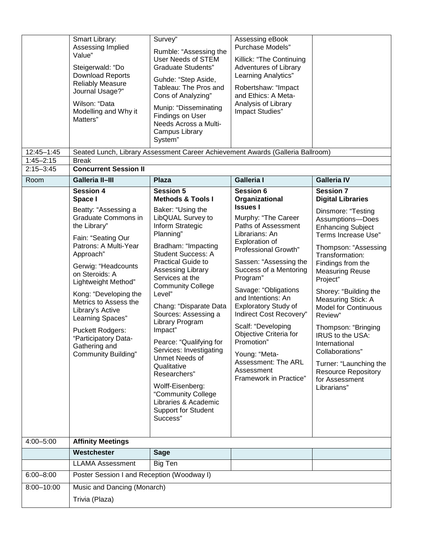|                             | Smart Library:<br>Assessing Implied<br>Value"<br>Steigerwald: "Do<br><b>Download Reports</b><br><b>Reliably Measure</b><br>Journal Usage?"<br>Wilson: "Data<br>Modelling and Why it<br>Matters"                                                                                                                                                                                                                    | Survey"<br>Rumble: "Assessing the<br>User Needs of STEM<br><b>Graduate Students"</b><br>Guhde: "Step Aside,<br>Tableau: The Pros and<br>Cons of Analyzing"<br>Munip: "Disseminating<br>Findings on User<br>Needs Across a Multi-<br>Campus Library<br>System"                                                                                                                                                                                                                                                                                                                                        | Assessing eBook<br>Purchase Models"<br>Killick: "The Continuing<br>Adventures of Library<br><b>Learning Analytics"</b><br>Robertshaw: "Impact<br>and Ethics: A Meta-<br>Analysis of Library<br>Impact Studies"                                                                                                                                                                                                                                                                        |                                                                                                                                                                                                                                                                                                                                                                                                                                                                                                                  |
|-----------------------------|--------------------------------------------------------------------------------------------------------------------------------------------------------------------------------------------------------------------------------------------------------------------------------------------------------------------------------------------------------------------------------------------------------------------|------------------------------------------------------------------------------------------------------------------------------------------------------------------------------------------------------------------------------------------------------------------------------------------------------------------------------------------------------------------------------------------------------------------------------------------------------------------------------------------------------------------------------------------------------------------------------------------------------|---------------------------------------------------------------------------------------------------------------------------------------------------------------------------------------------------------------------------------------------------------------------------------------------------------------------------------------------------------------------------------------------------------------------------------------------------------------------------------------|------------------------------------------------------------------------------------------------------------------------------------------------------------------------------------------------------------------------------------------------------------------------------------------------------------------------------------------------------------------------------------------------------------------------------------------------------------------------------------------------------------------|
| 12:45-1:45<br>$1:45 - 2:15$ | <b>Break</b>                                                                                                                                                                                                                                                                                                                                                                                                       |                                                                                                                                                                                                                                                                                                                                                                                                                                                                                                                                                                                                      | Seated Lunch, Library Assessment Career Achievement Awards (Galleria Ballroom)                                                                                                                                                                                                                                                                                                                                                                                                        |                                                                                                                                                                                                                                                                                                                                                                                                                                                                                                                  |
| $2:15 - 3:45$               | <b>Concurrent Session II</b>                                                                                                                                                                                                                                                                                                                                                                                       |                                                                                                                                                                                                                                                                                                                                                                                                                                                                                                                                                                                                      |                                                                                                                                                                                                                                                                                                                                                                                                                                                                                       |                                                                                                                                                                                                                                                                                                                                                                                                                                                                                                                  |
| Room                        | <b>Galleria II-III</b>                                                                                                                                                                                                                                                                                                                                                                                             | <b>Plaza</b>                                                                                                                                                                                                                                                                                                                                                                                                                                                                                                                                                                                         | <b>Galleria I</b>                                                                                                                                                                                                                                                                                                                                                                                                                                                                     | <b>Galleria IV</b>                                                                                                                                                                                                                                                                                                                                                                                                                                                                                               |
|                             | <b>Session 4</b><br>Space I<br>Beatty: "Assessing a<br>Graduate Commons in<br>the Library"<br>Fain: "Seating Our<br>Patrons: A Multi-Year<br>Approach"<br>Gerwig: "Headcounts<br>on Steroids: A<br>Lightweight Method"<br>Kong: "Developing the<br>Metrics to Assess the<br>Library's Active<br>Learning Spaces"<br><b>Puckett Rodgers:</b><br>"Participatory Data-<br>Gathering and<br><b>Community Building"</b> | <b>Session 5</b><br><b>Methods &amp; Tools I</b><br>Baker: "Using the<br>LibQUAL Survey to<br>Inform Strategic<br>Planning"<br>Bradham: "Impacting<br><b>Student Success: A</b><br><b>Practical Guide to</b><br>Assessing Library<br>Services at the<br><b>Community College</b><br>Level"<br>Chang: "Disparate Data<br>Sources: Assessing a<br>Library Program<br>Impact"<br>Pearce: "Qualifying for<br>Services: Investigating<br><b>Unmet Needs of</b><br>Qualitative<br>Researchers"<br>Wolff-Eisenberg:<br>"Community College<br>Libraries & Academic<br><b>Support for Student</b><br>Success" | <b>Session 6</b><br>Organizational<br><b>Issues I</b><br>Murphy: "The Career<br>Paths of Assessment<br>Librarians: An<br>Exploration of<br>Professional Growth"<br>Sassen: "Assessing the<br>Success of a Mentoring<br>Program"<br>Savage: "Obligations<br>and Intentions: An<br><b>Exploratory Study of</b><br>Indirect Cost Recovery"<br>Scalf: "Developing<br>Objective Criteria for<br>Promotion"<br>Young: "Meta-<br>Assessment: The ARL<br>Assessment<br>Framework in Practice" | <b>Session 7</b><br><b>Digital Libraries</b><br>Dinsmore: "Testing<br>Assumptions-Does<br><b>Enhancing Subject</b><br>Terms Increase Use"<br>Thompson: "Assessing<br>Transformation:<br>Findings from the<br><b>Measuring Reuse</b><br>Project"<br>Shorey: "Building the<br>Measuring Stick: A<br><b>Model for Continuous</b><br>Review"<br>Thompson: "Bringing<br>IRUS to the USA:<br>International<br>Collaborations"<br>Turner: "Launching the<br><b>Resource Repository</b><br>for Assessment<br>Librarians" |
| 4:00-5:00                   | <b>Affinity Meetings</b>                                                                                                                                                                                                                                                                                                                                                                                           |                                                                                                                                                                                                                                                                                                                                                                                                                                                                                                                                                                                                      |                                                                                                                                                                                                                                                                                                                                                                                                                                                                                       |                                                                                                                                                                                                                                                                                                                                                                                                                                                                                                                  |
|                             | Westchester                                                                                                                                                                                                                                                                                                                                                                                                        | <b>Sage</b>                                                                                                                                                                                                                                                                                                                                                                                                                                                                                                                                                                                          |                                                                                                                                                                                                                                                                                                                                                                                                                                                                                       |                                                                                                                                                                                                                                                                                                                                                                                                                                                                                                                  |
|                             | <b>LLAMA Assessment</b>                                                                                                                                                                                                                                                                                                                                                                                            | Big Ten                                                                                                                                                                                                                                                                                                                                                                                                                                                                                                                                                                                              |                                                                                                                                                                                                                                                                                                                                                                                                                                                                                       |                                                                                                                                                                                                                                                                                                                                                                                                                                                                                                                  |
| $6:00 - 8:00$               | Poster Session I and Reception (Woodway I)                                                                                                                                                                                                                                                                                                                                                                         |                                                                                                                                                                                                                                                                                                                                                                                                                                                                                                                                                                                                      |                                                                                                                                                                                                                                                                                                                                                                                                                                                                                       |                                                                                                                                                                                                                                                                                                                                                                                                                                                                                                                  |
| 8:00-10:00                  | Music and Dancing (Monarch)<br>Trivia (Plaza)                                                                                                                                                                                                                                                                                                                                                                      |                                                                                                                                                                                                                                                                                                                                                                                                                                                                                                                                                                                                      |                                                                                                                                                                                                                                                                                                                                                                                                                                                                                       |                                                                                                                                                                                                                                                                                                                                                                                                                                                                                                                  |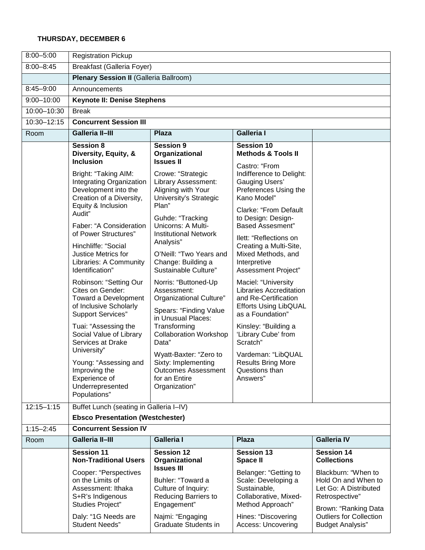### **THURSDAY, DECEMBER 6**

| $8:00 - 5:00$  | <b>Registration Pickup</b>                                                                                                           |                                                                                                                                          |                                                                                                                                                 |                                                                                                               |  |
|----------------|--------------------------------------------------------------------------------------------------------------------------------------|------------------------------------------------------------------------------------------------------------------------------------------|-------------------------------------------------------------------------------------------------------------------------------------------------|---------------------------------------------------------------------------------------------------------------|--|
| $8:00 - 8:45$  | <b>Breakfast (Galleria Foyer)</b>                                                                                                    |                                                                                                                                          |                                                                                                                                                 |                                                                                                               |  |
|                | <b>Plenary Session II (Galleria Ballroom)</b>                                                                                        |                                                                                                                                          |                                                                                                                                                 |                                                                                                               |  |
| $8:45 - 9:00$  | Announcements                                                                                                                        |                                                                                                                                          |                                                                                                                                                 |                                                                                                               |  |
| $9:00 - 10:00$ | <b>Keynote II: Denise Stephens</b>                                                                                                   |                                                                                                                                          |                                                                                                                                                 |                                                                                                               |  |
| 10:00-10:30    | <b>Break</b>                                                                                                                         |                                                                                                                                          |                                                                                                                                                 |                                                                                                               |  |
| 10:30-12:15    | <b>Concurrent Session III</b>                                                                                                        |                                                                                                                                          |                                                                                                                                                 |                                                                                                               |  |
| Room           | <b>Galleria II-III</b><br><b>Galleria I</b><br><b>Plaza</b>                                                                          |                                                                                                                                          |                                                                                                                                                 |                                                                                                               |  |
|                | <b>Session 8</b><br>Diversity, Equity, &<br><b>Inclusion</b>                                                                         | <b>Session 9</b><br>Organizational<br><b>Issues II</b>                                                                                   | <b>Session 10</b><br><b>Methods &amp; Tools II</b><br>Castro: "From                                                                             |                                                                                                               |  |
|                | Bright: "Taking AIM:<br>Integrating Organization<br>Development into the<br>Creation of a Diversity,<br>Equity & Inclusion<br>Audit" | Crowe: "Strategic<br>Library Assessment:<br>Aligning with Your<br>University's Strategic<br>Plan"<br>Guhde: "Tracking                    | Indifference to Delight:<br><b>Gauging Users'</b><br>Preferences Using the<br>Kano Model"<br><b>Clarke: "From Default</b><br>to Design: Design- |                                                                                                               |  |
|                | Faber: "A Consideration<br>of Power Structures"                                                                                      | Unicorns: A Multi-<br><b>Institutional Network</b><br>Analysis"<br>O'Neill: "Two Years and<br>Change: Building a<br>Sustainable Culture" | <b>Based Assesment"</b><br>Ilett: "Reflections on                                                                                               |                                                                                                               |  |
|                | Hinchliffe: "Social<br>Justice Metrics for<br>Libraries: A Community<br>Identification"                                              |                                                                                                                                          | Creating a Multi-Site,<br>Mixed Methods, and<br>Interpretive<br>Assessment Project"                                                             |                                                                                                               |  |
|                | Robinson: "Setting Our<br>Cites on Gender:<br>Toward a Development<br>of Inclusive Scholarly<br><b>Support Services"</b>             | Norris: "Buttoned-Up<br>Assessment:<br>Organizational Culture"<br>Spears: "Finding Value<br>in Unusual Places:                           | Maciel: "University<br><b>Libraries Accreditation</b><br>and Re-Certification<br><b>Efforts Using LibQUAL</b><br>as a Foundation"               |                                                                                                               |  |
|                | Tuai: "Assessing the<br>Social Value of Library<br>Services at Drake<br>University"                                                  | Transforming<br><b>Collaboration Workshop</b><br>Data"                                                                                   | Kinsley: "Building a<br>'Library Cube' from<br>Scratch"                                                                                         |                                                                                                               |  |
|                | Young: "Assessing and<br>Improving the<br>Experience of<br>Underrepresented<br>Populations"                                          | Wyatt-Baxter: "Zero to<br>Sixty: Implementing<br><b>Outcomes Assessment</b><br>for an Entire<br>Organization"                            | Vardeman: "LibQUAL<br><b>Results Bring More</b><br>Questions than<br>Answers"                                                                   |                                                                                                               |  |
| $12:15 - 1:15$ | Buffet Lunch (seating in Galleria I-IV)                                                                                              |                                                                                                                                          |                                                                                                                                                 |                                                                                                               |  |
|                | <b>Ebsco Presentation (Westchester)</b>                                                                                              |                                                                                                                                          |                                                                                                                                                 |                                                                                                               |  |
| $1:15 - 2:45$  | <b>Concurrent Session IV</b>                                                                                                         |                                                                                                                                          |                                                                                                                                                 |                                                                                                               |  |
| Room           | <b>Galleria II-III</b>                                                                                                               | <b>Galleria I</b>                                                                                                                        | <b>Plaza</b>                                                                                                                                    | <b>Galleria IV</b>                                                                                            |  |
|                | <b>Session 11</b><br><b>Non-Traditional Users</b>                                                                                    | <b>Session 12</b><br>Organizational<br><b>Issues III</b>                                                                                 | <b>Session 13</b><br><b>Space II</b>                                                                                                            | <b>Session 14</b><br><b>Collections</b>                                                                       |  |
|                | Cooper: "Perspectives<br>on the Limits of<br>Assessment: Ithaka<br>S+R's Indigenous<br>Studies Project"                              | Buhler: "Toward a<br>Culture of Inquiry:<br>Reducing Barriers to<br>Engagement"                                                          | Belanger: "Getting to<br>Scale: Developing a<br>Sustainable,<br>Collaborative, Mixed-<br>Method Approach"                                       | Blackburn: "When to<br>Hold On and When to<br>Let Go: A Distributed<br>Retrospective"<br>Brown: "Ranking Data |  |
|                | Daly: "1G Needs are<br><b>Student Needs"</b>                                                                                         | Najmi: "Engaging<br>Graduate Students in                                                                                                 | Hines: "Discovering<br>Access: Uncovering                                                                                                       | <b>Outliers for Collection</b><br><b>Budget Analysis"</b>                                                     |  |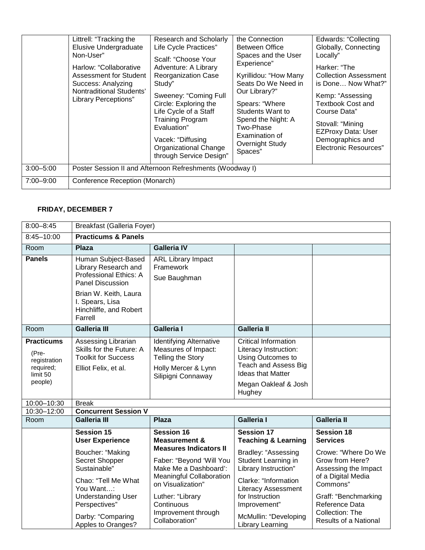|               | Littrell: "Tracking the<br>Elusive Undergraduate<br>Non-User"<br>Harlow: "Collaborative<br><b>Assessment for Student</b><br>Success: Analyzing<br>Nontraditional Students'<br><b>Library Perceptions"</b> | Research and Scholarly<br>Life Cycle Practices"<br>Scalf: "Choose Your<br>Adventure: A Library<br><b>Reorganization Case</b><br>Study"<br>Sweeney: "Coming Full<br>Circle: Exploring the<br>Life Cycle of a Staff<br><b>Training Program</b><br>Evaluation"<br>Vacek: "Diffusing<br><b>Organizational Change</b><br>through Service Design" | the Connection<br>Between Office<br>Spaces and the User<br>Experience"<br>Kyrillidou: "How Many<br>Seats Do We Need in<br>Our Library?"<br>Spears: "Where<br>Students Want to<br>Spend the Night: A<br>Two-Phase<br>Examination of<br>Overnight Study<br>Spaces" | <b>Edwards: "Collecting</b><br>Globally, Connecting<br>Locally"<br>Harker: "The<br><b>Collection Assessment</b><br>is Done Now What?"<br>Kemp: "Assessing<br><b>Textbook Cost and</b><br>Course Data"<br>Stovall: "Mining<br><b>EZProxy Data: User</b><br>Demographics and<br><b>Electronic Resources"</b> |
|---------------|-----------------------------------------------------------------------------------------------------------------------------------------------------------------------------------------------------------|---------------------------------------------------------------------------------------------------------------------------------------------------------------------------------------------------------------------------------------------------------------------------------------------------------------------------------------------|------------------------------------------------------------------------------------------------------------------------------------------------------------------------------------------------------------------------------------------------------------------|------------------------------------------------------------------------------------------------------------------------------------------------------------------------------------------------------------------------------------------------------------------------------------------------------------|
| $3:00 - 5:00$ | Poster Session II and Afternoon Refreshments (Woodway I)                                                                                                                                                  |                                                                                                                                                                                                                                                                                                                                             |                                                                                                                                                                                                                                                                  |                                                                                                                                                                                                                                                                                                            |
| $7:00 - 9:00$ | Conference Reception (Monarch)                                                                                                                                                                            |                                                                                                                                                                                                                                                                                                                                             |                                                                                                                                                                                                                                                                  |                                                                                                                                                                                                                                                                                                            |

## **FRIDAY, DECEMBER 7**

| $8:00 - 8:45$                                                                  | <b>Breakfast (Galleria Foyer)</b>                                                                                                                                                 |                                                                                                                                                                                      |                                                                                                                                                                                                                 |                                                                                                                                                                                        |
|--------------------------------------------------------------------------------|-----------------------------------------------------------------------------------------------------------------------------------------------------------------------------------|--------------------------------------------------------------------------------------------------------------------------------------------------------------------------------------|-----------------------------------------------------------------------------------------------------------------------------------------------------------------------------------------------------------------|----------------------------------------------------------------------------------------------------------------------------------------------------------------------------------------|
| 8:45-10:00                                                                     | <b>Practicums &amp; Panels</b>                                                                                                                                                    |                                                                                                                                                                                      |                                                                                                                                                                                                                 |                                                                                                                                                                                        |
| Room                                                                           | Plaza                                                                                                                                                                             | <b>Galleria IV</b>                                                                                                                                                                   |                                                                                                                                                                                                                 |                                                                                                                                                                                        |
| <b>Panels</b>                                                                  | Human Subject-Based<br>Library Research and<br>Professional Ethics: A<br><b>Panel Discussion</b><br>Brian W. Keith, Laura<br>I. Spears, Lisa<br>Hinchliffe, and Robert<br>Farrell | <b>ARL Library Impact</b><br>Framework<br>Sue Baughman                                                                                                                               |                                                                                                                                                                                                                 |                                                                                                                                                                                        |
| Room                                                                           | <b>Galleria III</b>                                                                                                                                                               | <b>Galleria</b> I                                                                                                                                                                    | <b>Galleria II</b>                                                                                                                                                                                              |                                                                                                                                                                                        |
| <b>Practicums</b><br>(Pre-<br>registration<br>required;<br>limit 50<br>people) | Assessing Librarian<br>Skills for the Future: A<br><b>Toolkit for Success</b><br>Elliot Felix, et al.                                                                             | <b>Identifying Alternative</b><br>Measures of Impact:<br><b>Telling the Story</b><br>Holly Mercer & Lynn<br>Silipigni Connaway                                                       | Critical Information<br>Literacy Instruction:<br>Using Outcomes to<br><b>Teach and Assess Big</b><br><b>Ideas that Matter</b><br>Megan Oakleaf & Josh<br>Hughey                                                 |                                                                                                                                                                                        |
| 10:00-10:30                                                                    | <b>Break</b>                                                                                                                                                                      |                                                                                                                                                                                      |                                                                                                                                                                                                                 |                                                                                                                                                                                        |
| 10:30-12:00                                                                    | <b>Concurrent Session V</b>                                                                                                                                                       |                                                                                                                                                                                      |                                                                                                                                                                                                                 |                                                                                                                                                                                        |
| Room                                                                           | <b>Galleria III</b>                                                                                                                                                               | <b>Plaza</b>                                                                                                                                                                         | <b>Galleria I</b>                                                                                                                                                                                               | <b>Galleria II</b>                                                                                                                                                                     |
|                                                                                | Session 15<br><b>User Experience</b>                                                                                                                                              | <b>Session 16</b><br><b>Measurement &amp;</b><br><b>Measures Indicators II</b>                                                                                                       | Session 17<br><b>Teaching &amp; Learning</b>                                                                                                                                                                    | Session 18<br><b>Services</b>                                                                                                                                                          |
|                                                                                | Boucher: "Making<br>Secret Shopper<br>Sustainable"<br>Chao: "Tell Me What<br>You Want:<br><b>Understanding User</b><br>Perspectives"<br>Darby: "Comparing<br>Apples to Oranges?   | Faber: "Beyond 'Will You<br>Make Me a Dashboard':<br><b>Meaningful Collaboration</b><br>on Visualization"<br>Luther: "Library<br>Continuous<br>Improvement through<br>Collaboration" | Bradley: "Assessing<br>Student Learning in<br>Library Instruction"<br>Clarke: "Information<br><b>Literacy Assessment</b><br>for Instruction<br>Improvement"<br>McMullin: "Developing<br><b>Library Learning</b> | Crowe: "Where Do We<br>Grow from Here?<br>Assessing the Impact<br>of a Digital Media<br>Commons"<br>Graff: "Benchmarking<br>Reference Data<br>Collection: The<br>Results of a National |